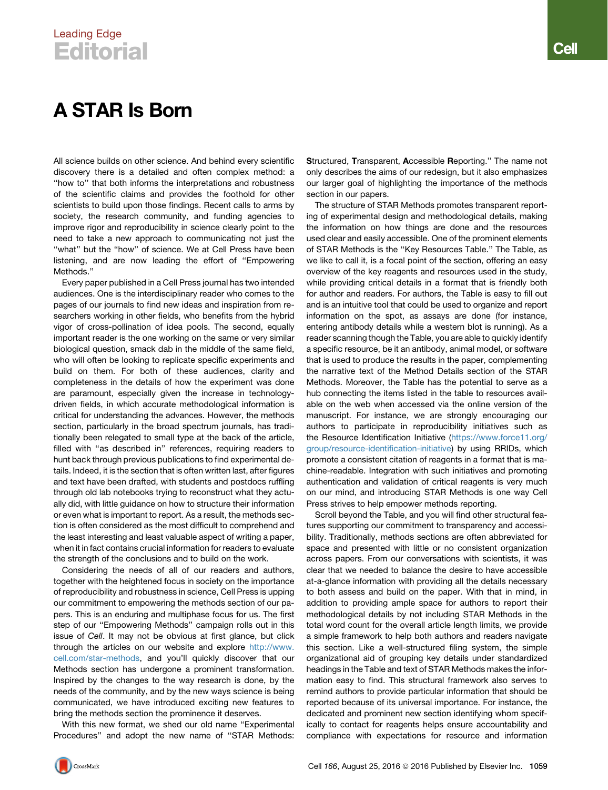## Leading Edge **Editorial**

## A STAR Is Born

All science builds on other science. And behind every scientific discovery there is a detailed and often complex method: a "how to" that both informs the interpretations and robustness of the scientific claims and provides the foothold for other scientists to build upon those findings. Recent calls to arms by society, the research community, and funding agencies to improve rigor and reproducibility in science clearly point to the need to take a new approach to communicating not just the "what" but the "how" of science. We at Cell Press have been listening, and are now leading the effort of ''Empowering Methods.''

Every paper published in a Cell Press journal has two intended audiences. One is the interdisciplinary reader who comes to the pages of our journals to find new ideas and inspiration from researchers working in other fields, who benefits from the hybrid vigor of cross-pollination of idea pools. The second, equally important reader is the one working on the same or very similar biological question, smack dab in the middle of the same field, who will often be looking to replicate specific experiments and build on them. For both of these audiences, clarity and completeness in the details of how the experiment was done are paramount, especially given the increase in technologydriven fields, in which accurate methodological information is critical for understanding the advances. However, the methods section, particularly in the broad spectrum journals, has traditionally been relegated to small type at the back of the article, filled with "as described in" references, requiring readers to hunt back through previous publications to find experimental details. Indeed, it is the section that is often written last, after figures and text have been drafted, with students and postdocs ruffling through old lab notebooks trying to reconstruct what they actually did, with little guidance on how to structure their information or even what is important to report. As a result, the methods section is often considered as the most difficult to comprehend and the least interesting and least valuable aspect of writing a paper, when it in fact contains crucial information for readers to evaluate the strength of the conclusions and to build on the work.

Considering the needs of all of our readers and authors, together with the heightened focus in society on the importance of reproducibility and robustness in science, Cell Press is upping our commitment to empowering the methods section of our papers. This is an enduring and multiphase focus for us. The first step of our ''Empowering Methods'' campaign rolls out in this issue of *Cell*. It may not be obvious at first glance, but click through the articles on our website and explore [http://www.](http://www.cell.com/star-methods) [cell.com/star-methods,](http://www.cell.com/star-methods) and you'll quickly discover that our Methods section has undergone a prominent transformation. Inspired by the changes to the way research is done, by the needs of the community, and by the new ways science is being communicated, we have introduced exciting new features to bring the methods section the prominence it deserves.

With this new format, we shed our old name ''Experimental Procedures'' and adopt the new name of ''STAR Methods: Structured, Transparent, Accessible Reporting.'' The name not only describes the aims of our redesign, but it also emphasizes our larger goal of highlighting the importance of the methods section in our papers.

The structure of STAR Methods promotes transparent reporting of experimental design and methodological details, making the information on how things are done and the resources used clear and easily accessible. One of the prominent elements of STAR Methods is the ''Key Resources Table.'' The Table, as we like to call it, is a focal point of the section, offering an easy overview of the key reagents and resources used in the study, while providing critical details in a format that is friendly both for author and readers. For authors, the Table is easy to fill out and is an intuitive tool that could be used to organize and report information on the spot, as assays are done (for instance, entering antibody details while a western blot is running). As a reader scanning though the Table, you are able to quickly identify a specific resource, be it an antibody, animal model, or software that is used to produce the results in the paper, complementing the narrative text of the Method Details section of the STAR Methods. Moreover, the Table has the potential to serve as a hub connecting the items listed in the table to resources available on the web when accessed via the online version of the manuscript. For instance, we are strongly encouraging our authors to participate in reproducibility initiatives such as the Resource Identification Initiative ([https://www.force11.org/](https://www.force11.org/group/resource-identification-initiative) [group/resource-identification-initiative\)](https://www.force11.org/group/resource-identification-initiative) by using RRIDs, which promote a consistent citation of reagents in a format that is machine-readable. Integration with such initiatives and promoting authentication and validation of critical reagents is very much on our mind, and introducing STAR Methods is one way Cell Press strives to help empower methods reporting.

Scroll beyond the Table, and you will find other structural features supporting our commitment to transparency and accessibility. Traditionally, methods sections are often abbreviated for space and presented with little or no consistent organization across papers. From our conversations with scientists, it was clear that we needed to balance the desire to have accessible at-a-glance information with providing all the details necessary to both assess and build on the paper. With that in mind, in addition to providing ample space for authors to report their methodological details by not including STAR Methods in the total word count for the overall article length limits, we provide a simple framework to help both authors and readers navigate this section. Like a well-structured filing system, the simple organizational aid of grouping key details under standardized headings in the Table and text of STAR Methods makes the information easy to find. This structural framework also serves to remind authors to provide particular information that should be reported because of its universal importance. For instance, the dedicated and prominent new section identifying whom specifically to contact for reagents helps ensure accountability and compliance with expectations for resource and information